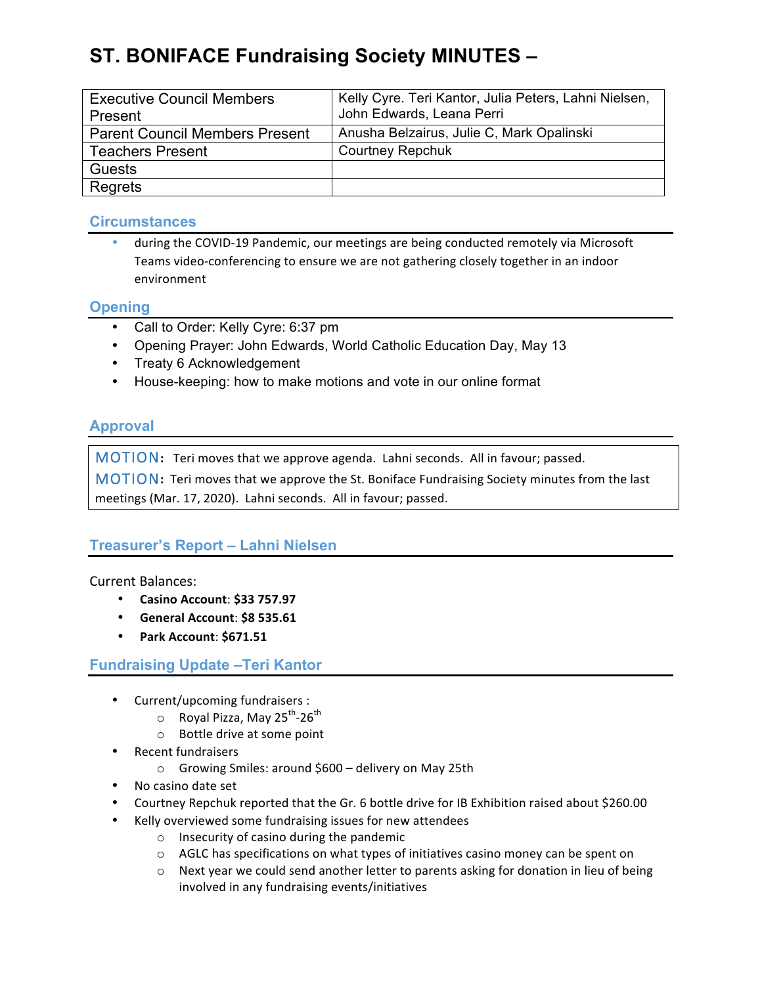# **ST. BONIFACE Fundraising Society MINUTES –**

| <b>Executive Council Members</b><br>Present | Kelly Cyre. Teri Kantor, Julia Peters, Lahni Nielsen,<br>John Edwards, Leana Perri |
|---------------------------------------------|------------------------------------------------------------------------------------|
| <b>Parent Council Members Present</b>       | Anusha Belzairus, Julie C, Mark Opalinski                                          |
| <b>Teachers Present</b>                     | <b>Courtney Repchuk</b>                                                            |
| Guests                                      |                                                                                    |
| Regrets                                     |                                                                                    |

## **Circumstances**

during the COVID-19 Pandemic, our meetings are being conducted remotely via Microsoft Teams video-conferencing to ensure we are not gathering closely together in an indoor environment

## **Opening**

- Call to Order: Kelly Cyre: 6:37 pm
- Opening Prayer: John Edwards, World Catholic Education Day, May 13
- Treaty 6 Acknowledgement
- House-keeping: how to make motions and vote in our online format

# **Approval**

MOTION: Teri moves that we approve agenda. Lahni seconds. All in favour; passed.

MOTION: Teri moves that we approve the St. Boniface Fundraising Society minutes from the last meetings (Mar. 17, 2020). Lahni seconds. All in favour; passed.

## **Treasurer's Report – Lahni Nielsen**

### Current Balances:

- **Casino Account**: **\$33 757.97**
- **General Account**: **\$8 535.61**
- **Park Account**: **\$671.51**

## **Fundraising Update –Teri Kantor**

- Current/upcoming fundraisers :
	- $\circ$  Royal Pizza, May 25<sup>th</sup>-26<sup>th</sup>
	- o Bottle drive at some point
- Recent fundraisers
	- $\circ$  Growing Smiles: around \$600 delivery on May 25th
- No casino date set
- Courtney Repchuk reported that the Gr. 6 bottle drive for IB Exhibition raised about \$260.00
- Kelly overviewed some fundraising issues for new attendees
	- $\circ$  Insecurity of casino during the pandemic
	- $\circ$  AGLC has specifications on what types of initiatives casino money can be spent on
	- $\circ$  Next year we could send another letter to parents asking for donation in lieu of being involved in any fundraising events/initiatives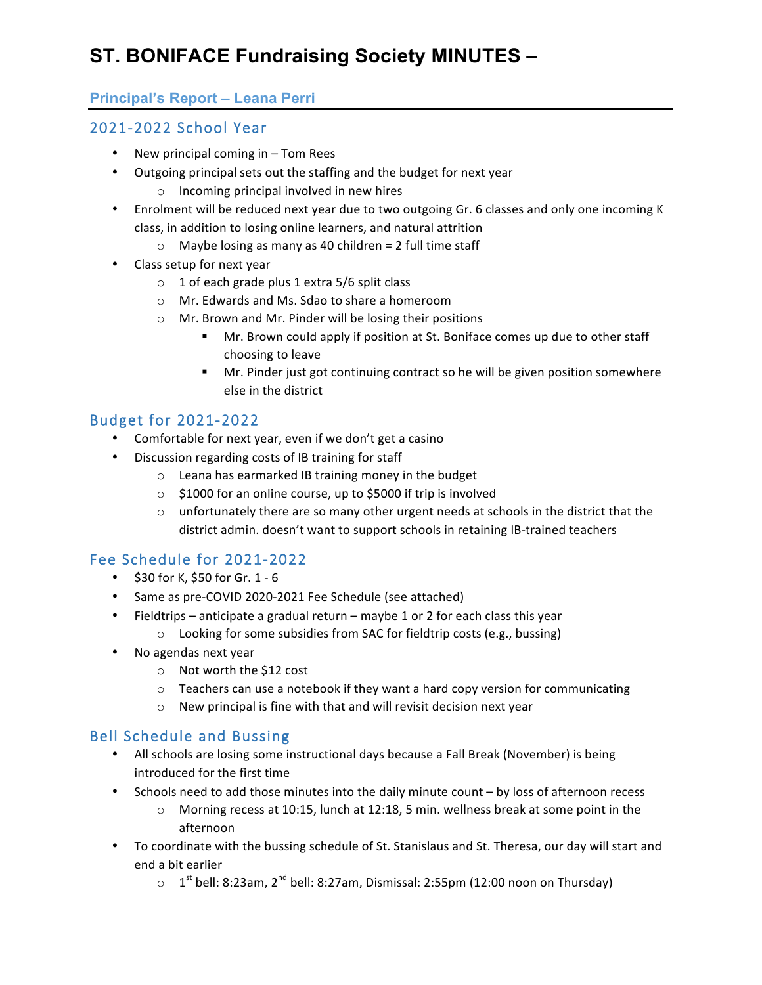# **ST. BONIFACE Fundraising Society MINUTES –**

## **Principal's Report – Leana Perri**

# 2021-2022 School Year

- New principal coming in  $-$  Tom Rees
- Outgoing principal sets out the staffing and the budget for next year
	- $\circ$  Incoming principal involved in new hires
- Enrolment will be reduced next year due to two outgoing Gr. 6 classes and only one incoming K class, in addition to losing online learners, and natural attrition
	- $\circ$  Maybe losing as many as 40 children = 2 full time staff
- Class setup for next year
	- $\circ$  1 of each grade plus 1 extra 5/6 split class
	- o Mr. Edwards and Ms. Sdao to share a homeroom
	- o Mr. Brown and Mr. Pinder will be losing their positions
		- Mr. Brown could apply if position at St. Boniface comes up due to other staff choosing to leave
		- **•** Mr. Pinder just got continuing contract so he will be given position somewhere else in the district

# Budget for 2021-2022

- Comfortable for next year, even if we don't get a casino
- Discussion regarding costs of IB training for staff
	- $\circ$  Leana has earmarked IB training money in the budget
	- $\circ$  \$1000 for an online course, up to \$5000 if trip is involved
	- $\circ$  unfortunately there are so many other urgent needs at schools in the district that the district admin. doesn't want to support schools in retaining IB-trained teachers

# Fee Schedule for 2021-2022

- $$30$  for K, \$50 for Gr. 1 6
- Same as pre-COVID 2020-2021 Fee Schedule (see attached)
- Fieldtrips anticipate a gradual return maybe 1 or 2 for each class this year
	- $\circ$  Looking for some subsidies from SAC for fieldtrip costs (e.g., bussing)
- No agendas next year
	- o Not worth the \$12 cost
	- $\circ$  Teachers can use a notebook if they want a hard copy version for communicating
	- $\circ$  New principal is fine with that and will revisit decision next year

## Bell Schedule and Bussing

- All schools are losing some instructional days because a Fall Break (November) is being introduced for the first time
- Schools need to add those minutes into the daily minute count by loss of afternoon recess
	- $\circ$  Morning recess at 10:15, lunch at 12:18, 5 min. wellness break at some point in the afternoon
- To coordinate with the bussing schedule of St. Stanislaus and St. Theresa, our day will start and end a bit earlier
	- $\circ$  1<sup>st</sup> bell: 8:23am, 2<sup>nd</sup> bell: 8:27am, Dismissal: 2:55pm (12:00 noon on Thursday)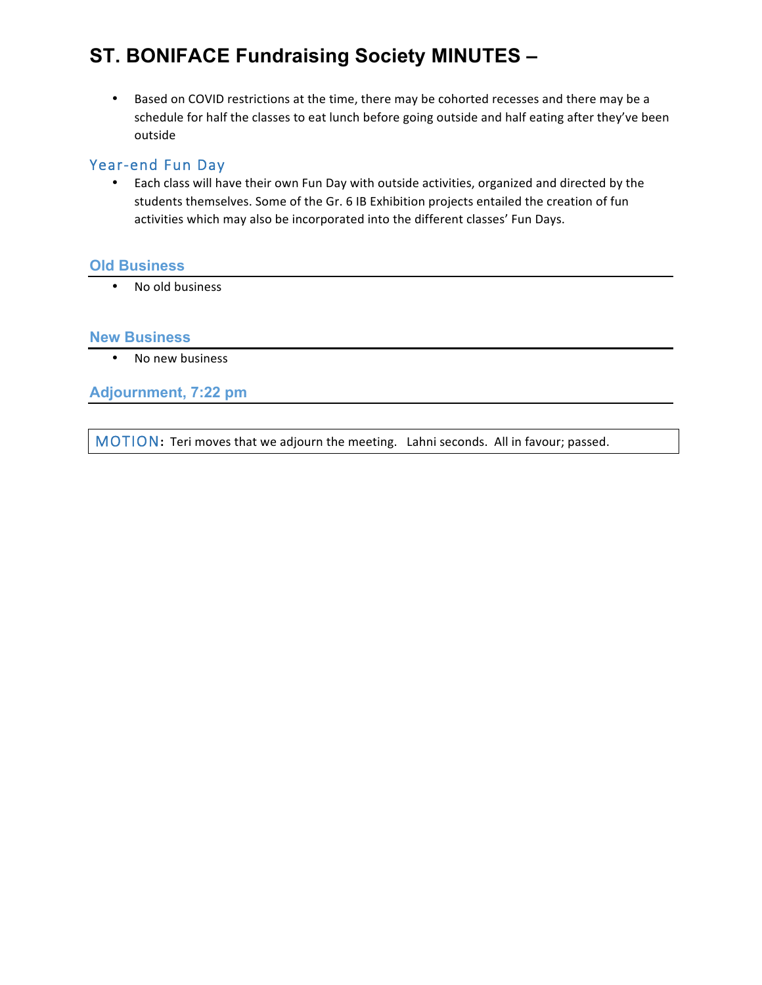# **ST. BONIFACE Fundraising Society MINUTES –**

• Based on COVID restrictions at the time, there may be cohorted recesses and there may be a schedule for half the classes to eat lunch before going outside and half eating after they've been outside

### Year-end Fun Day

• Each class will have their own Fun Day with outside activities, organized and directed by the students themselves. Some of the Gr. 6 IB Exhibition projects entailed the creation of fun activities which may also be incorporated into the different classes' Fun Days.

#### **Old Business**

• No old business

#### **New Business**

• No new business

**Adjournment, 7:22 pm**

MOTION: Teri moves that we adjourn the meeting. Lahni seconds. All in favour; passed.